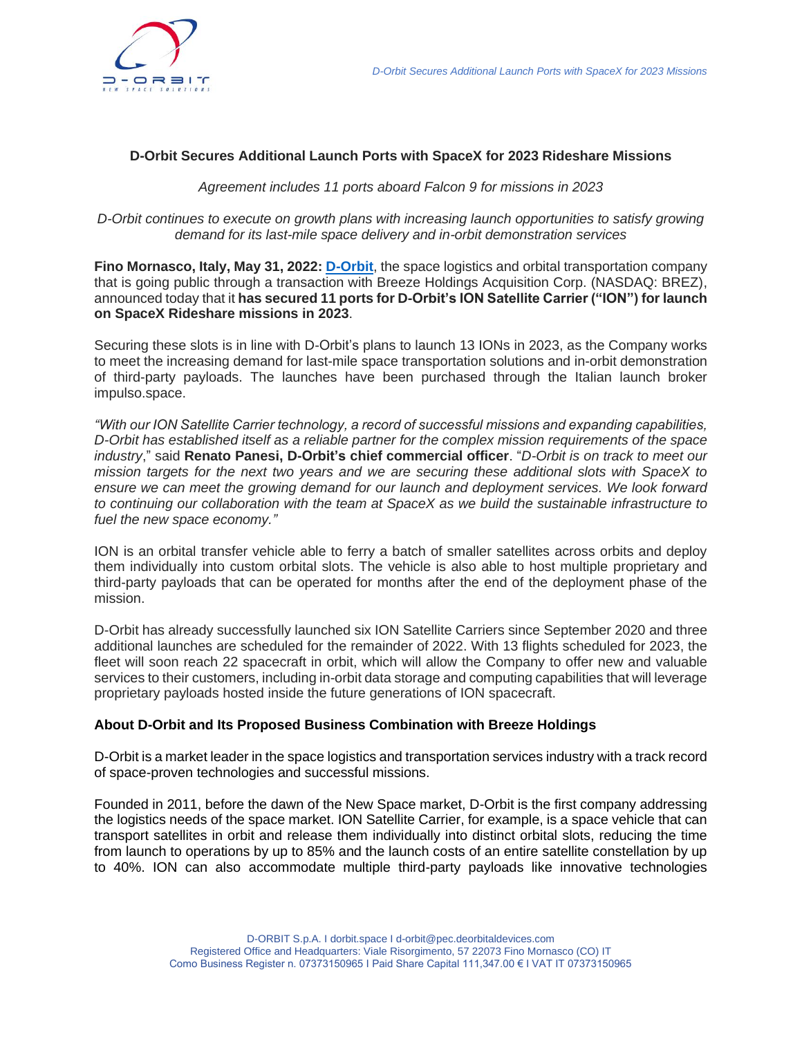

## **D-Orbit Secures Additional Launch Ports with SpaceX for 2023 Rideshare Missions**

*Agreement includes 11 ports aboard Falcon 9 for missions in 2023*

*D-Orbit continues to execute on growth plans with increasing launch opportunities to satisfy growing demand for its last-mile space delivery and in-orbit demonstration services*

**Fino Mornasco, Italy, May 31, 2022: [D-Orbit](http://www.dorbit.space/)**, the space logistics and orbital transportation company that is going public through a transaction with Breeze Holdings Acquisition Corp. (NASDAQ: BREZ), announced today that it **has secured 11 ports for D-Orbit's ION Satellite Carrier ("ION") for launch on SpaceX Rideshare missions in 2023**.

Securing these slots is in line with D-Orbit's plans to launch 13 IONs in 2023, as the Company works to meet the increasing demand for last-mile space transportation solutions and in-orbit demonstration of third-party payloads. The launches have been purchased through the Italian launch broker impulso.space.

*"With our ION Satellite Carrier technology, a record of successful missions and expanding capabilities, D-Orbit has established itself as a reliable partner for the complex mission requirements of the space industry*," said **Renato Panesi, D-Orbit's chief commercial officer**. "*D-Orbit is on track to meet our mission targets for the next two years and we are securing these additional slots with SpaceX to ensure we can meet the growing demand for our launch and deployment services. We look forward to continuing our collaboration with the team at SpaceX as we build the sustainable infrastructure to fuel the new space economy."*

ION is an orbital transfer vehicle able to ferry a batch of smaller satellites across orbits and deploy them individually into custom orbital slots. The vehicle is also able to host multiple proprietary and third-party payloads that can be operated for months after the end of the deployment phase of the mission.

D-Orbit has already successfully launched six ION Satellite Carriers since September 2020 and three additional launches are scheduled for the remainder of 2022. With 13 flights scheduled for 2023, the fleet will soon reach 22 spacecraft in orbit, which will allow the Company to offer new and valuable services to their customers, including in-orbit data storage and computing capabilities that will leverage proprietary payloads hosted inside the future generations of ION spacecraft.

# **About D-Orbit and Its Proposed Business Combination with Breeze Holdings**

D-Orbit is a market leader in the space logistics and transportation services industry with a track record of space-proven technologies and successful missions.

Founded in 2011, before the dawn of the New Space market, D-Orbit is the first company addressing the logistics needs of the space market. ION Satellite Carrier, for example, is a space vehicle that can transport satellites in orbit and release them individually into distinct orbital slots, reducing the time from launch to operations by up to 85% and the launch costs of an entire satellite constellation by up to 40%. ION can also accommodate multiple third-party payloads like innovative technologies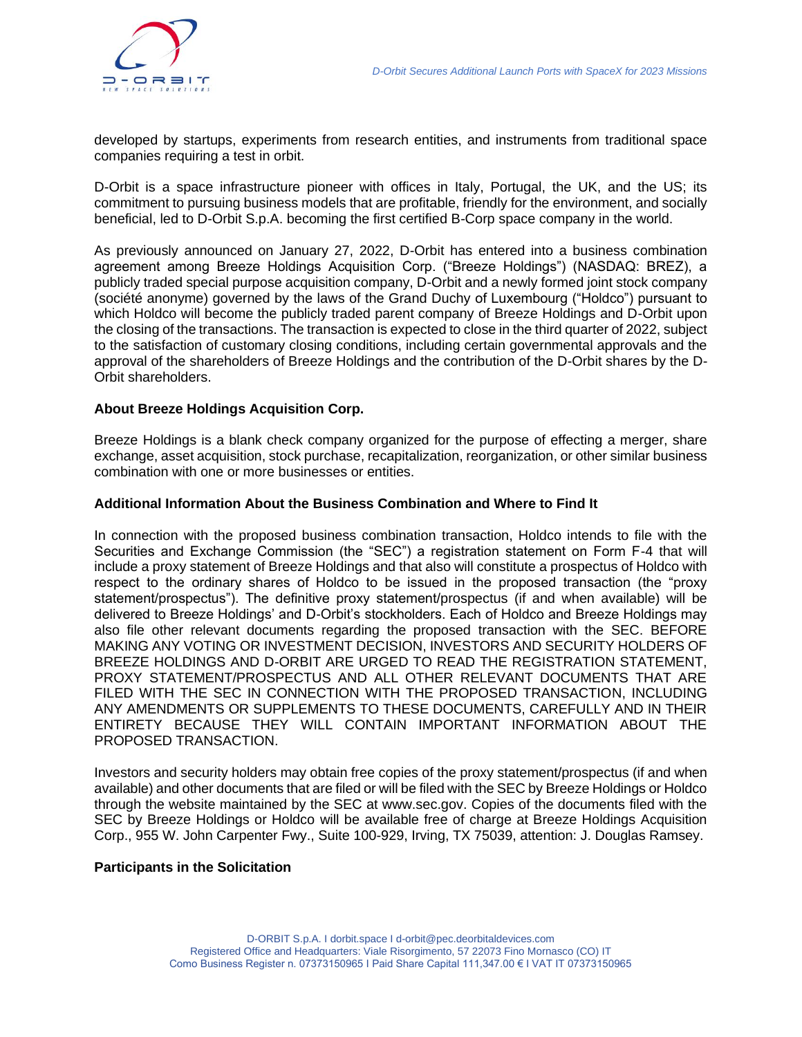

developed by startups, experiments from research entities, and instruments from traditional space companies requiring a test in orbit.

D-Orbit is a space infrastructure pioneer with offices in Italy, Portugal, the UK, and the US; its commitment to pursuing business models that are profitable, friendly for the environment, and socially beneficial, led to D-Orbit S.p.A. becoming the first certified B-Corp space company in the world.

As previously announced on January 27, 2022, D-Orbit has entered into a business combination agreement among Breeze Holdings Acquisition Corp. ("Breeze Holdings") (NASDAQ: BREZ), a publicly traded special purpose acquisition company, D-Orbit and a newly formed joint stock company (société anonyme) governed by the laws of the Grand Duchy of Luxembourg ("Holdco") pursuant to which Holdco will become the publicly traded parent company of Breeze Holdings and D-Orbit upon the closing of the transactions. The transaction is expected to close in the third quarter of 2022, subject to the satisfaction of customary closing conditions, including certain governmental approvals and the approval of the shareholders of Breeze Holdings and the contribution of the D-Orbit shares by the D-Orbit shareholders.

## **About Breeze Holdings Acquisition Corp.**

Breeze Holdings is a blank check company organized for the purpose of effecting a merger, share exchange, asset acquisition, stock purchase, recapitalization, reorganization, or other similar business combination with one or more businesses or entities.

### **Additional Information About the Business Combination and Where to Find It**

In connection with the proposed business combination transaction, Holdco intends to file with the Securities and Exchange Commission (the "SEC") a registration statement on Form F-4 that will include a proxy statement of Breeze Holdings and that also will constitute a prospectus of Holdco with respect to the ordinary shares of Holdco to be issued in the proposed transaction (the "proxy statement/prospectus"). The definitive proxy statement/prospectus (if and when available) will be delivered to Breeze Holdings' and D-Orbit's stockholders. Each of Holdco and Breeze Holdings may also file other relevant documents regarding the proposed transaction with the SEC. BEFORE MAKING ANY VOTING OR INVESTMENT DECISION, INVESTORS AND SECURITY HOLDERS OF BREEZE HOLDINGS AND D-ORBIT ARE URGED TO READ THE REGISTRATION STATEMENT, PROXY STATEMENT/PROSPECTUS AND ALL OTHER RELEVANT DOCUMENTS THAT ARE FILED WITH THE SEC IN CONNECTION WITH THE PROPOSED TRANSACTION, INCLUDING ANY AMENDMENTS OR SUPPLEMENTS TO THESE DOCUMENTS, CAREFULLY AND IN THEIR ENTIRETY BECAUSE THEY WILL CONTAIN IMPORTANT INFORMATION ABOUT THE PROPOSED TRANSACTION.

Investors and security holders may obtain free copies of the proxy statement/prospectus (if and when available) and other documents that are filed or will be filed with the SEC by Breeze Holdings or Holdco through the website maintained by the SEC at www.sec.gov. Copies of the documents filed with the SEC by Breeze Holdings or Holdco will be available free of charge at Breeze Holdings Acquisition Corp., 955 W. John Carpenter Fwy., Suite 100-929, Irving, TX 75039, attention: J. Douglas Ramsey.

### **Participants in the Solicitation**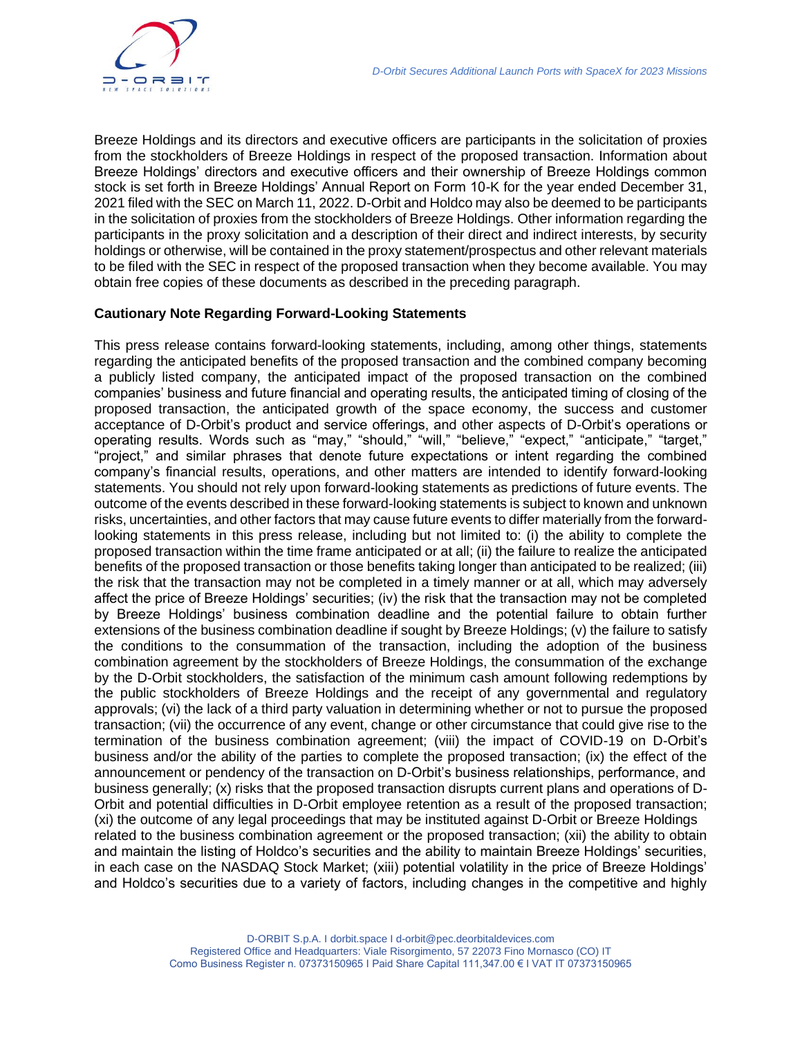

Breeze Holdings and its directors and executive officers are participants in the solicitation of proxies from the stockholders of Breeze Holdings in respect of the proposed transaction. Information about Breeze Holdings' directors and executive officers and their ownership of Breeze Holdings common stock is set forth in Breeze Holdings' Annual Report on Form 10-K for the year ended December 31, 2021 filed with the SEC on March 11, 2022. D-Orbit and Holdco may also be deemed to be participants in the solicitation of proxies from the stockholders of Breeze Holdings. Other information regarding the participants in the proxy solicitation and a description of their direct and indirect interests, by security holdings or otherwise, will be contained in the proxy statement/prospectus and other relevant materials to be filed with the SEC in respect of the proposed transaction when they become available. You may obtain free copies of these documents as described in the preceding paragraph.

## **Cautionary Note Regarding Forward-Looking Statements**

This press release contains forward-looking statements, including, among other things, statements regarding the anticipated benefits of the proposed transaction and the combined company becoming a publicly listed company, the anticipated impact of the proposed transaction on the combined companies' business and future financial and operating results, the anticipated timing of closing of the proposed transaction, the anticipated growth of the space economy, the success and customer acceptance of D-Orbit's product and service offerings, and other aspects of D-Orbit's operations or operating results. Words such as "may," "should," "will," "believe," "expect," "anticipate," "target," "project," and similar phrases that denote future expectations or intent regarding the combined company's financial results, operations, and other matters are intended to identify forward-looking statements. You should not rely upon forward-looking statements as predictions of future events. The outcome of the events described in these forward-looking statements is subject to known and unknown risks, uncertainties, and other factors that may cause future events to differ materially from the forwardlooking statements in this press release, including but not limited to: (i) the ability to complete the proposed transaction within the time frame anticipated or at all; (ii) the failure to realize the anticipated benefits of the proposed transaction or those benefits taking longer than anticipated to be realized; (iii) the risk that the transaction may not be completed in a timely manner or at all, which may adversely affect the price of Breeze Holdings' securities; (iv) the risk that the transaction may not be completed by Breeze Holdings' business combination deadline and the potential failure to obtain further extensions of the business combination deadline if sought by Breeze Holdings; (v) the failure to satisfy the conditions to the consummation of the transaction, including the adoption of the business combination agreement by the stockholders of Breeze Holdings, the consummation of the exchange by the D-Orbit stockholders, the satisfaction of the minimum cash amount following redemptions by the public stockholders of Breeze Holdings and the receipt of any governmental and regulatory approvals; (vi) the lack of a third party valuation in determining whether or not to pursue the proposed transaction; (vii) the occurrence of any event, change or other circumstance that could give rise to the termination of the business combination agreement; (viii) the impact of COVID-19 on D-Orbit's business and/or the ability of the parties to complete the proposed transaction; (ix) the effect of the announcement or pendency of the transaction on D-Orbit's business relationships, performance, and business generally; (x) risks that the proposed transaction disrupts current plans and operations of D-Orbit and potential difficulties in D-Orbit employee retention as a result of the proposed transaction; (xi) the outcome of any legal proceedings that may be instituted against D-Orbit or Breeze Holdings related to the business combination agreement or the proposed transaction; (xii) the ability to obtain and maintain the listing of Holdco's securities and the ability to maintain Breeze Holdings' securities, in each case on the NASDAQ Stock Market; (xiii) potential volatility in the price of Breeze Holdings' and Holdco's securities due to a variety of factors, including changes in the competitive and highly